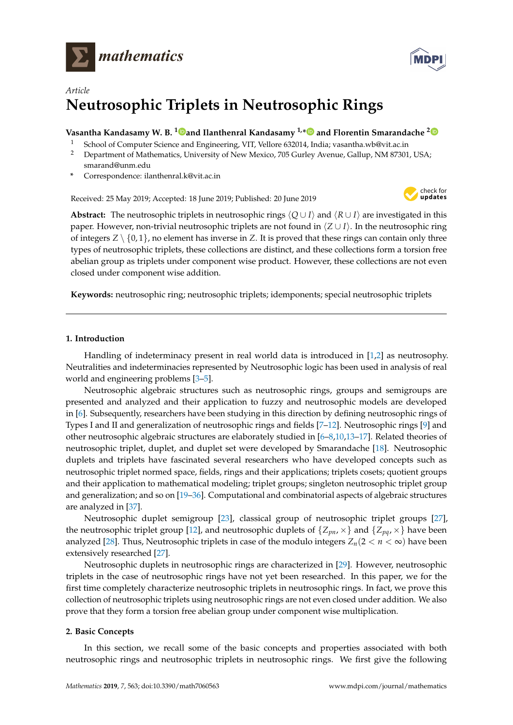



# *Article* **Neutrosophic Triplets in Neutrosophic Rings**

### **Vasantha Kandasamy W. B. <sup>1</sup> [a](https://orcid.org/0000-0001-9832-1475)nd Ilanthenral Kandasamy 1,[\\*](https://orcid.org/0000-0003-4826-9466) and Florentin Smarandache [2](https://orcid.org/0000-0002-5560-5926)**

- <sup>1</sup> School of Computer Science and Engineering, VIT, Vellore 632014, India; vasantha.wb@vit.ac.in
- <sup>2</sup> Department of Mathematics, University of New Mexico, 705 Gurley Avenue, Gallup, NM 87301, USA; smarand@unm.edu
- **\*** Correspondence: ilanthenral.k@vit.ac.in

Received: 25 May 2019; Accepted: 18 June 2019; Published: 20 June 2019



**Abstract:** The neutrosophic triplets in neutrosophic rings  $\langle Q \cup I \rangle$  and  $\langle R \cup I \rangle$  are investigated in this paper. However, non-trivial neutrosophic triplets are not found in  $\langle Z \cup I \rangle$ . In the neutrosophic ring of integers  $Z \setminus \{0,1\}$ , no element has inverse in Z. It is proved that these rings can contain only three types of neutrosophic triplets, these collections are distinct, and these collections form a torsion free abelian group as triplets under component wise product. However, these collections are not even closed under component wise addition.

**Keywords:** neutrosophic ring; neutrosophic triplets; idemponents; special neutrosophic triplets

### **1. Introduction**

Handling of indeterminacy present in real world data is introduced in [\[1](#page-6-0)[,2\]](#page-7-0) as neutrosophy. Neutralities and indeterminacies represented by Neutrosophic logic has been used in analysis of real world and engineering problems [\[3–](#page-7-1)[5\]](#page-7-2).

Neutrosophic algebraic structures such as neutrosophic rings, groups and semigroups are presented and analyzed and their application to fuzzy and neutrosophic models are developed in [\[6\]](#page-7-3). Subsequently, researchers have been studying in this direction by defining neutrosophic rings of Types I and II and generalization of neutrosophic rings and fields [\[7–](#page-7-4)[12\]](#page-7-5). Neutrosophic rings [\[9\]](#page-7-6) and other neutrosophic algebraic structures are elaborately studied in [\[6–](#page-7-3)[8](#page-7-7)[,10](#page-7-8)[,13–](#page-7-9)[17\]](#page-7-10). Related theories of neutrosophic triplet, duplet, and duplet set were developed by Smarandache [\[18\]](#page-7-11). Neutrosophic duplets and triplets have fascinated several researchers who have developed concepts such as neutrosophic triplet normed space, fields, rings and their applications; triplets cosets; quotient groups and their application to mathematical modeling; triplet groups; singleton neutrosophic triplet group and generalization; and so on [\[19](#page-7-12)[–36\]](#page-8-0). Computational and combinatorial aspects of algebraic structures are analyzed in [\[37\]](#page-8-1).

Neutrosophic duplet semigroup [\[23\]](#page-7-13), classical group of neutrosophic triplet groups [\[27\]](#page-7-14), the neutrosophic triplet group [\[12\]](#page-7-5), and neutrosophic duplets of  $\{Z_{pn}, \times\}$  and  $\{Z_{pq}, \times\}$  have been analyzed [\[28\]](#page-7-15). Thus, Neutrosophic triplets in case of the modulo integers  $Z_n(2 < n < \infty)$  have been extensively researched [\[27\]](#page-7-14).

Neutrosophic duplets in neutrosophic rings are characterized in [\[29\]](#page-7-16). However, neutrosophic triplets in the case of neutrosophic rings have not yet been researched. In this paper, we for the first time completely characterize neutrosophic triplets in neutrosophic rings. In fact, we prove this collection of neutrosophic triplets using neutrosophic rings are not even closed under addition. We also prove that they form a torsion free abelian group under component wise multiplication.

### **2. Basic Concepts**

In this section, we recall some of the basic concepts and properties associated with both neutrosophic rings and neutrosophic triplets in neutrosophic rings. We first give the following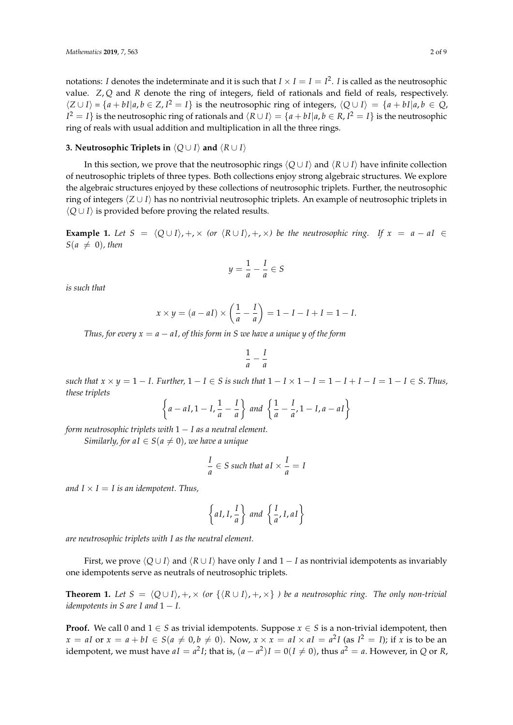notations: *I* denotes the indeterminate and it is such that  $I \times I = I = I^2$ . *I* is called as the neutrosophic value. *Z*, *Q* and *R* denote the ring of integers, field of rationals and field of reals, respectively.  $\langle Z \cup I \rangle = \{a + bI | a, b \in Z, I^2 = I\}$  is the neutrosophic ring of integers,  $\langle Q \cup I \rangle = \{a + bI | a, b \in Q, I\}$  $I^2 = I$ } is the neutrosophic ring of rationals and  $\langle R \cup I \rangle = \{a + bI | a, b \in R, I^2 = I\}$  is the neutrosophic ring of reals with usual addition and multiplication in all the three rings.

# **3. Neutrosophic Triplets in**  $\langle Q \cup I \rangle$  and  $\langle R \cup I \rangle$

In this section, we prove that the neutrosophic rings  $\langle Q \cup I \rangle$  and  $\langle R \cup I \rangle$  have infinite collection of neutrosophic triplets of three types. Both collections enjoy strong algebraic structures. We explore the algebraic structures enjoyed by these collections of neutrosophic triplets. Further, the neutrosophic ring of integers  $\langle Z \cup I \rangle$  has no nontrivial neutrosophic triplets. An example of neutrosophic triplets in  $\langle Q \cup I \rangle$  is provided before proving the related results.

**Example 1.** Let  $S = \langle Q \cup I \rangle$ , +,  $\times$  (or  $\langle R \cup I \rangle$ , +,  $\times$ ) be the neutrosophic ring. If  $x = a - aI \in$  $S(a \neq 0)$ *, then* 

$$
y = \frac{1}{a} - \frac{I}{a} \in S
$$

*is such that*

$$
x \times y = (a - aI) \times \left(\frac{1}{a} - \frac{I}{a}\right) = 1 - I - I + I = 1 - I.
$$

*Thus, for every*  $x = a - aI$ , *of this form in S we have a unique y of the form* 

$$
\frac{1}{a} - \frac{I}{a}
$$

*such that*  $x \times y = 1 - I$ . Further,  $1 - I \in S$  *is such that*  $1 - I \times 1 - I = 1 - I + I - I = 1 - I \in S$ . Thus, *these triplets*

$$
\left\{a - aI, 1 - I, \frac{1}{a} - \frac{I}{a}\right\} \text{ and } \left\{\frac{1}{a} - \frac{I}{a}, 1 - I, a - aI\right\}
$$

*form neutrosophic triplets with* 1 − *I as a neutral element.*

*Similarly, for aI*  $\in S$ ( $a \neq 0$ ), we have a unique

$$
\frac{I}{a} \in S \text{ such that } aI \times \frac{I}{a} = I
$$

*and*  $I \times I = I$  *is an idempotent. Thus,* 

$$
\left\{ aI, I, \frac{I}{a} \right\} \ and \ \left\{ \frac{I}{a}, I, aI \right\}
$$

*are neutrosophic triplets with I as the neutral element.*

First, we prove  $\langle Q \cup I \rangle$  and  $\langle R \cup I \rangle$  have only *I* and 1 − *I* as nontrivial idempotents as invariably one idempotents serve as neutrals of neutrosophic triplets.

**Theorem 1.** Let  $S = \langle Q \cup I \rangle, +, \times$  (or  $\{ \langle R \cup I \rangle, +, \times \}$ ) be a neutrosophic ring. The only non-trivial *idempotents in S are I and*  $1 - I$ .

**Proof.** We call 0 and  $1 \in S$  as trivial idempotents. Suppose  $x \in S$  is a non-trivial idempotent, then  $x = aI$  or  $x = a + bI \in S(a \neq 0, b \neq 0)$ . Now,  $x \times x = aI \times aI = a^2I$  (as  $I^2 = I$ ); if *x* is to be an idempotent, we must have  $aI = a^2I$ ; that is,  $(a - a^2)I = 0(I \neq 0)$ , thus  $a^2 = a$ . However, in *Q* or *R*,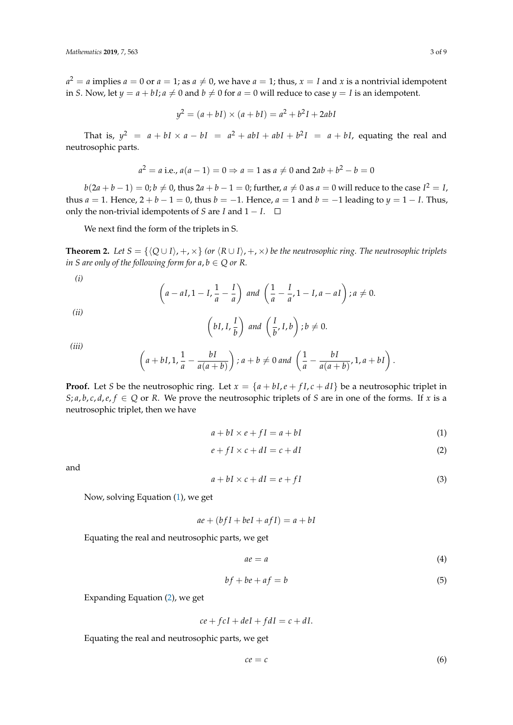$a^2 = a$  implies  $a = 0$  or  $a = 1$ ; as  $a \neq 0$ , we have  $a = 1$ ; thus,  $x = I$  and  $x$  is a nontrivial idempotent in *S*. Now, let  $y = a + bI$ ;  $a \neq 0$  and  $b \neq 0$  for  $a = 0$  will reduce to case  $y = I$  is an idempotent.

$$
y^2 = (a + bI) \times (a + bI) = a^2 + b^2I + 2abI
$$

That is,  $y^2 = a + bI \times a - bI = a^2 + abI + abI + b^2I = a + bI$ , equating the real and neutrosophic parts.

$$
a^2 = a
$$
 i.e.,  $a(a-1) = 0 \Rightarrow a = 1$  as  $a \neq 0$  and  $2ab + b^2 - b = 0$ 

 $b(2a + b - 1) = 0; b \neq 0$ , thus  $2a + b - 1 = 0$ ; further,  $a \neq 0$  as  $a = 0$  will reduce to the case  $I^2 = I$ , thus  $a = 1$ . Hence,  $2 + b - 1 = 0$ , thus  $b = -1$ . Hence,  $a = 1$  and  $b = -1$  leading to  $y = 1 - I$ . Thus, only the non-trivial idempotents of *S* are *I* and  $1 - I$ . □

We next find the form of the triplets in S.

**Theorem 2.** Let  $S = \{Q \cup I\}, +, \times\}$  (or  $\{R \cup I\}, +, \times$ ) be the neutrosophic ring. The neutrosophic triplets *in S are only of the following form for*  $a, b \in Q$  *or R.* 

$$
\left( i\right)
$$

$$
\left(a - aI, 1 - I, \frac{1}{a} - \frac{I}{a}\right) \text{ and } \left(\frac{1}{a} - \frac{I}{a}, 1 - I, a - aI\right); a \neq 0.
$$
\n
$$
\left(bI, I, \frac{I}{b}\right) \text{ and } \left(\frac{I}{b}, I, b\right); b \neq 0.
$$

*(iii)*

*(ii)*

$$
\left(a+bI,1,\frac{1}{a}-\frac{bI}{a(a+b)}\right); a+b \neq 0 \text{ and } \left(\frac{1}{a}-\frac{bI}{a(a+b)},1,a+bI\right).
$$

**Proof.** Let *S* be the neutrosophic ring. Let  $x = \{a + bI, e + fI, c + dI\}$  be a neutrosophic triplet in *S*; *a*, *b*, *c*, *d*, *e*, *f*  $\in$  *Q* or *R*. We prove the neutrosophic triplets of *S* are in one of the forms. If *x* is a neutrosophic triplet, then we have

<span id="page-2-0"></span>
$$
a + bI \times e + fI = a + bI \tag{1}
$$

<span id="page-2-1"></span>
$$
e + fI \times c + dI = c + dI \tag{2}
$$

and

<span id="page-2-2"></span>
$$
a + bI \times c + dI = e + fI \tag{3}
$$

Now, solving Equation [\(1\)](#page-2-0), we get

 $ae + (bfI + beI + afI) = a + bI$ 

Equating the real and neutrosophic parts, we get

<span id="page-2-3"></span>
$$
ae = a \tag{4}
$$

<span id="page-2-4"></span>
$$
bf + be + af = b \tag{5}
$$

Expanding Equation [\(2\)](#page-2-1), we get

$$
ce + f cI + del + f dI = c + dI.
$$

Equating the real and neutrosophic parts, we get

<span id="page-2-5"></span>
$$
ce = c \tag{6}
$$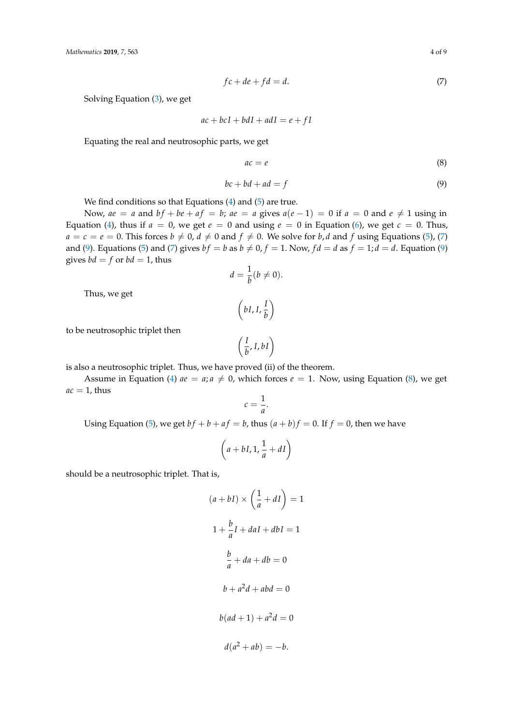<span id="page-3-0"></span>
$$
fc + de + fd = d.\tag{7}
$$

Solving Equation [\(3\)](#page-2-2), we get

$$
ac + bcI + b dI + adI = e + fl
$$

Equating the real and neutrosophic parts, we get

<span id="page-3-2"></span>
$$
ac = e \tag{8}
$$

<span id="page-3-1"></span>
$$
bc + bd + ad = f \tag{9}
$$

We find conditions so that Equations [\(4\)](#page-2-3) and [\(5\)](#page-2-4) are true.

Now,  $ae = a$  and  $bf + be + af = b$ ;  $ae = a$  gives  $a(e - 1) = 0$  if  $a = 0$  and  $e \neq 1$  using in Equation [\(4\)](#page-2-3), thus if  $a = 0$ , we get  $e = 0$  and using  $e = 0$  in Equation [\(6\)](#page-2-5), we get  $c = 0$ . Thus,  $a = c = e = 0$ . This forces  $b \neq 0$ ,  $d \neq 0$  and  $f \neq 0$ . We solve for *b*, *d* and *f* using Equations [\(5\)](#page-2-4), [\(7\)](#page-3-0) and [\(9\)](#page-3-1). Equations [\(5\)](#page-2-4) and [\(7\)](#page-3-0) gives  $bf = b$  as  $b \neq 0$ ,  $f = 1$ . Now,  $fd = d$  as  $f = 1$ ;  $d = d$ . Equation (9) gives  $bd = f$  or  $bd = 1$ , thus

$$
d=\frac{1}{b}(b\neq 0).
$$

Thus, we get

$$
\left(bI, I, \frac{I}{b}\right)
$$

to be neutrosophic triplet then

$$
\left(\frac{I}{b},I,bI\right)
$$

is also a neutrosophic triplet. Thus, we have proved (ii) of the theorem.

Assume in Equation [\(4\)](#page-2-3)  $ae = a$ ;  $a \neq 0$ , which forces  $e = 1$ . Now, using Equation [\(8\)](#page-3-2), we get  $ac = 1$ , thus

$$
c=\frac{1}{a}.
$$

Using Equation [\(5\)](#page-2-4), we get  $bf + b + af = b$ , thus  $(a + b)f = 0$ . If  $f = 0$ , then we have

$$
\left(a+bI,1,\frac{1}{a}+dI\right)
$$

should be a neutrosophic triplet. That is,

$$
(a + bI) \times \left(\frac{1}{a} + dI\right) = 1
$$
  

$$
1 + \frac{b}{a}I + daI + dbI = 1
$$
  

$$
\frac{b}{a} + da + db = 0
$$
  

$$
b + a^2d + abd = 0
$$
  

$$
b(ad + 1) + a^2d = 0
$$
  

$$
d(a^2 + ab) = -b.
$$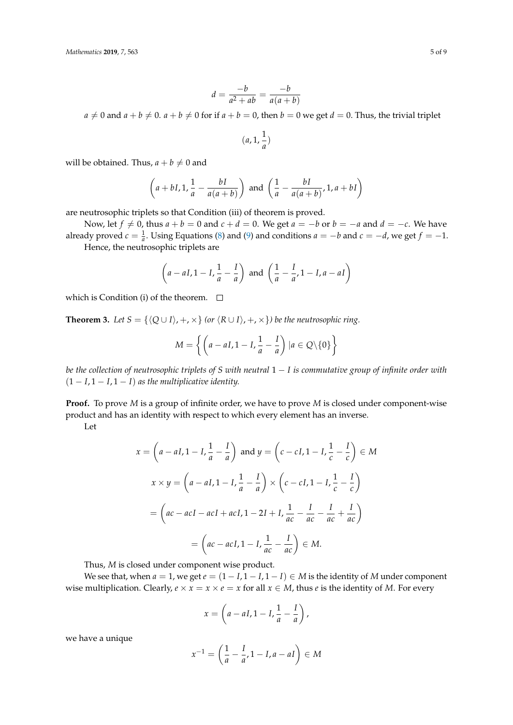$$
d = \frac{-b}{a^2 + ab} = \frac{-b}{a(a+b)}
$$

 $a \neq 0$  and  $a + b \neq 0$ .  $a + b \neq 0$  for if  $a + b = 0$ , then  $b = 0$  we get  $d = 0$ . Thus, the trivial triplet

$$
(a,1,\frac{1}{a})
$$

will be obtained. Thus,  $a + b \neq 0$  and

$$
\left(a + bI, 1, \frac{1}{a} - \frac{bI}{a(a+b)}\right) \text{ and } \left(\frac{1}{a} - \frac{bI}{a(a+b)}, 1, a+bI\right)
$$

are neutrosophic triplets so that Condition (iii) of theorem is proved.

Now, let  $f \neq 0$ , thus  $a + b = 0$  and  $c + d = 0$ . We get  $a = -b$  or  $b = -a$  and  $d = -c$ . We have already proved  $c = \frac{1}{a}$ . Using Equations [\(8\)](#page-3-2) and [\(9\)](#page-3-1) and conditions  $a = -b$  and  $c = -d$ , we get  $f = -1$ . Hence, the neutrosophic triplets are

$$
\left(a - aI, 1 - I, \frac{1}{a} - \frac{I}{a}\right)
$$
 and  $\left(\frac{1}{a} - \frac{I}{a}, 1 - I, a - aI\right)$ 

which is Condition (i) of the theorem.  $\Box$ 

**Theorem 3.** *Let*  $S = \{(Q \cup I), +, \times\}$  *(or*  $(R \cup I), +, \times\}$ *) be the neutrosophic ring.* 

$$
M = \left\{ \left( a - aI, 1 - I, \frac{1}{a} - \frac{I}{a} \right) | a \in Q \backslash \{0\} \right\}
$$

*be the collection of neutrosophic triplets of S with neutral* 1 − *I is commutative group of infinite order with*  $(1 - I, 1 - I, 1 - I)$  *as the multiplicative identity.* 

**Proof.** To prove *M* is a group of infinite order, we have to prove *M* is closed under component-wise product and has an identity with respect to which every element has an inverse.

Let

$$
x = \left(a - aI, 1 - I, \frac{1}{a} - \frac{I}{a}\right) \text{ and } y = \left(c - cI, 1 - I, \frac{1}{c} - \frac{I}{c}\right) \in M
$$
  

$$
x \times y = \left(a - aI, 1 - I, \frac{1}{a} - \frac{I}{a}\right) \times \left(c - cI, 1 - I, \frac{1}{c} - \frac{I}{c}\right)
$$
  

$$
= \left(ac - acI - acI + acI, 1 - 2I + I, \frac{1}{ac} - \frac{I}{ac} - \frac{I}{ac} + \frac{I}{ac}\right)
$$
  

$$
= \left(ac - acI, 1 - I, \frac{1}{ac} - \frac{I}{ac}\right) \in M.
$$

Thus, *M* is closed under component wise product.

We see that, when  $a = 1$ , we get  $e = (1 - I, 1 - I, 1 - I) \in M$  is the identity of M under component wise multiplication. Clearly,  $e \times x = x \times e = x$  for all  $x \in M$ , thus *e* is the identity of *M*. For every

$$
x = \left(a - aI, 1 - I, \frac{1}{a} - \frac{I}{a}\right),
$$

we have a unique

$$
x^{-1} = \left(\frac{1}{a} - \frac{I}{a}, 1 - I, a - aI\right) \in M
$$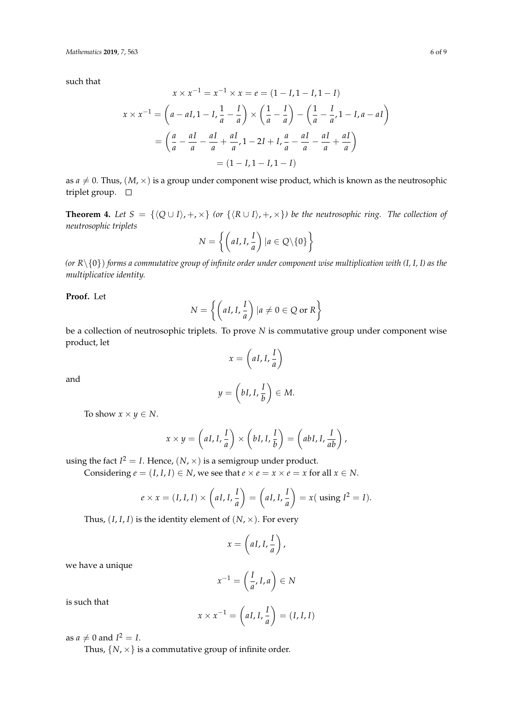such that

$$
x \times x^{-1} = x^{-1} \times x = e = (1 - I, 1 - I, 1 - I)
$$
  

$$
x \times x^{-1} = \left( a - aI, 1 - I, \frac{1}{a} - \frac{I}{a} \right) \times \left( \frac{1}{a} - \frac{I}{a} \right) - \left( \frac{1}{a} - \frac{I}{a'}, 1 - I, a - aI \right)
$$
  

$$
= \left( \frac{a}{a} - \frac{aI}{a} - \frac{aI}{a} + \frac{aI}{a'}, 1 - 2I + I, \frac{a}{a} - \frac{aI}{a} - \frac{aI}{a} + \frac{aI}{a} \right)
$$
  

$$
= (1 - I, 1 - I, 1 - I)
$$

as  $a \neq 0$ . Thus,  $(M, \times)$  is a group under component wise product, which is known as the neutrosophic triplet group.  $\square$ 

**Theorem 4.** Let  $S = \{Q \cup I\}, +, \times\}$  (or  $\{R \cup I\}, +, \times\}$ ) be the neutrosophic ring. The collection of *neutrosophic triplets*

$$
N = \left\{ \left( aI, I, \frac{I}{a} \right) | a \in Q \backslash \{0\} \right\}
$$

*(or R*\{0}) *forms a commutative group of infinite order under component wise multiplication with (I, I, I) as the multiplicative identity.*

**Proof.** Let

$$
N = \left\{ \left( aI, I, \frac{I}{a} \right) | a \neq 0 \in Q \text{ or } R \right\}
$$

be a collection of neutrosophic triplets. To prove *N* is commutative group under component wise product, let

$$
x = \left( aI, I, \frac{I}{a} \right)
$$

and

$$
y=\left(bI,I,\frac{I}{b}\right)\in M.
$$

To show  $x \times y \in N$ .

$$
x \times y = \left( aI, I, \frac{I}{a} \right) \times \left( bI, I, \frac{I}{b} \right) = \left( abI, I, \frac{I}{ab} \right),
$$

using the fact  $I^2 = I$ . Hence,  $(N, \times)$  is a semigroup under product.

Considering  $e = (I, I, I) \in N$ , we see that  $e \times e = x \times e = x$  for all  $x \in N$ .

$$
e \times x = (I, I, I) \times \left( aI, I, \frac{I}{a} \right) = \left( aI, I, \frac{I}{a} \right) = x (\text{ using } I^2 = I).
$$

Thus,  $(I, I, I)$  is the identity element of  $(N, \times)$ . For every

$$
x = \left( aI, I, \frac{I}{a} \right),
$$

we have a unique

$$
x^{-1} = \left(\frac{I}{a}, I, a\right) \in N
$$

is such that

$$
x \times x^{-1} = \left( aI, I, \frac{I}{a} \right) = (I, I, I)
$$

as  $a \neq 0$  and  $I^2 = I$ .

Thus,  $\{N, \times\}$  is a commutative group of infinite order.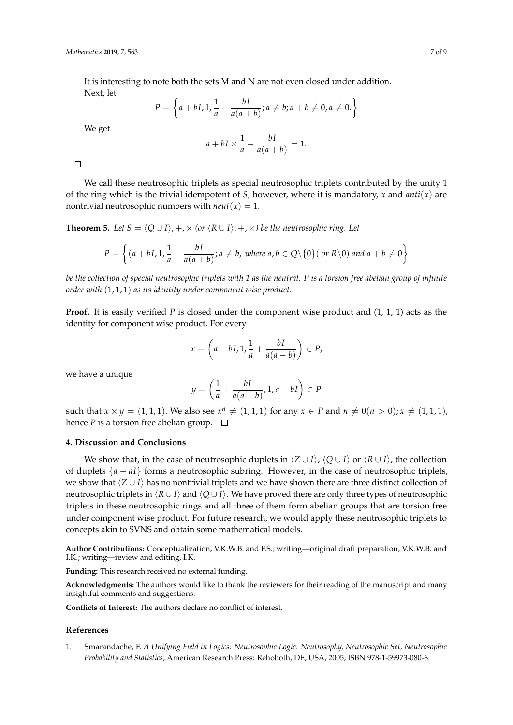It is interesting to note both the sets M and N are not even closed under addition. Next, let

$$
P = \left\{ a + bI, 1, \frac{1}{a} - \frac{bI}{a(a+b)}; a \neq b; a + b \neq 0, a \neq 0. \right\}
$$

We get

$$
a + bI \times \frac{1}{a} - \frac{bI}{a(a+b)} = 1.
$$

 $\Box$ 

We call these neutrosophic triplets as special neutrosophic triplets contributed by the unity 1 of the ring which is the trivial idempotent of *S*; however, where it is mandatory, *x* and *anti*(*x*) are nontrivial neutrosophic numbers with  $neut(x) = 1$ .

**Theorem 5.** Let  $S = \langle Q \cup I \rangle$ , +,  $\times$  (or  $\langle R \cup I \rangle$ , +,  $\times$ ) be the neutrosophic ring. Let

$$
P = \left\{ (a + bI, 1, \frac{1}{a} - \frac{bI}{a(a + b)}; a \neq b, \text{ where } a, b \in Q \setminus \{0\} \text{ (or } R \setminus 0) \text{ and } a + b \neq 0 \right\}
$$

*be the collection of special neutrosophic triplets with 1 as the neutral. P is a torsion free abelian group of infinite order with* (1, 1, 1) *as its identity under component wise product.*

**Proof.** It is easily verified *P* is closed under the component wise product and  $(1, 1, 1)$  acts as the identity for component wise product. For every

$$
x = \left(a - bI, 1, \frac{1}{a} + \frac{bI}{a(a-b)}\right) \in P,
$$

we have a unique

$$
y = \left(\frac{1}{a} + \frac{bI}{a(a-b)}, 1, a-bI\right) \in P
$$

such that  $x \times y = (1, 1, 1)$ . We also see  $x^n \neq (1, 1, 1)$  for any  $x \in P$  and  $n \neq 0$ ( $n > 0$ );  $x \neq (1, 1, 1)$ , hence *P* is a torsion free abelian group.  $\Box$ 

# **4. Discussion and Conclusions**

We show that, in the case of neutrosophic duplets in  $\langle Z \cup I \rangle$ ,  $\langle Q \cup I \rangle$  or  $\langle R \cup I \rangle$ , the collection of duplets {*a* − *aI*} forms a neutrosophic subring. However, in the case of neutrosophic triplets, we show that  $\langle Z \cup I \rangle$  has no nontrivial triplets and we have shown there are three distinct collection of neutrosophic triplets in  $\langle R \cup I \rangle$  and  $\langle Q \cup I \rangle$ . We have proved there are only three types of neutrosophic triplets in these neutrosophic rings and all three of them form abelian groups that are torsion free under component wise product. For future research, we would apply these neutrosophic triplets to concepts akin to SVNS and obtain some mathematical models.

**Author Contributions:** Conceptualization, V.K.W.B. and F.S.; writing—original draft preparation, V.K.W.B. and I.K.; writing—review and editing, I.K.

**Funding:** This research received no external funding.

**Acknowledgments:** The authors would like to thank the reviewers for their reading of the manuscript and many insightful comments and suggestions.

**Conflicts of Interest:** The authors declare no conflict of interest.

#### **References**

<span id="page-6-0"></span>1. Smarandache, F. *A Unifying Field in Logics: Neutrosophic Logic. Neutrosophy, Neutrosophic Set, Neutrosophic Probability and Statistics*; American Research Press: Rehoboth, DE, USA, 2005; ISBN 978-1-59973-080-6.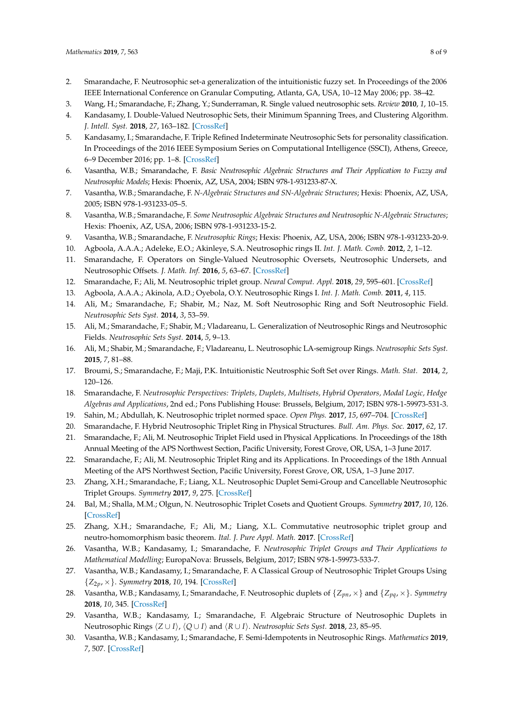- <span id="page-7-0"></span>2. Smarandache, F. Neutrosophic set-a generalization of the intuitionistic fuzzy set. In Proceedings of the 2006 IEEE International Conference on Granular Computing, Atlanta, GA, USA, 10–12 May 2006; pp. 38–42.
- <span id="page-7-1"></span>3. Wang, H.; Smarandache, F.; Zhang, Y.; Sunderraman, R. Single valued neutrosophic sets. *Review* **2010**, *1*, 10–15.
- 4. Kandasamy, I. Double-Valued Neutrosophic Sets, their Minimum Spanning Trees, and Clustering Algorithm. *J. Intell. Syst.* **2018**, *27*, 163–182. [\[CrossRef\]](http://dx.doi.org/10.1515/jisys-2016-0088)
- <span id="page-7-2"></span>5. Kandasamy, I.; Smarandache, F. Triple Refined Indeterminate Neutrosophic Sets for personality classification. In Proceedings of the 2016 IEEE Symposium Series on Computational Intelligence (SSCI), Athens, Greece, 6–9 December 2016; pp. 1–8. [\[CrossRef\]](http://dx.doi.org/10.1109/SSCI.2016.7850153)
- <span id="page-7-3"></span>6. Vasantha, W.B.; Smarandache, F. *Basic Neutrosophic Algebraic Structures and Their Application to Fuzzy and Neutrosophic Models*; Hexis: Phoenix, AZ, USA, 2004; ISBN 978-1-931233-87-X.
- <span id="page-7-4"></span>7. Vasantha, W.B.; Smarandache, F. *N-Algebraic Structures and SN-Algebraic Structures*; Hexis: Phoenix, AZ, USA, 2005; ISBN 978-1-931233-05–5.
- <span id="page-7-7"></span>8. Vasantha, W.B.; Smarandache, F. *Some Neutrosophic Algebraic Structures and Neutrosophic N-Algebraic Structures*; Hexis: Phoenix, AZ, USA, 2006; ISBN 978-1-931233-15-2.
- <span id="page-7-6"></span>9. Vasantha, W.B.; Smarandache, F. *Neutrosophic Rings*; Hexis: Phoenix, AZ, USA, 2006; ISBN 978-1-931233-20-9.
- <span id="page-7-8"></span>10. Agboola, A.A.A.; Adeleke, E.O.; Akinleye, S.A. Neutrosophic rings II. *Int. J. Math. Comb.* **2012**, *2*, 1–12.
- 11. Smarandache, F. Operators on Single-Valued Neutrosophic Oversets, Neutrosophic Undersets, and Neutrosophic Offsets. *J. Math. Inf.* **2016**, *5*, 63–67. [\[CrossRef\]](http://dx.doi.org/10.5958/2320-3226.2016.00007.2)
- <span id="page-7-5"></span>12. Smarandache, F.; Ali, M. Neutrosophic triplet group. *Neural Comput. Appl.* **2018**, *29*, 595–601. [\[CrossRef\]](http://dx.doi.org/10.1007/s00521-016-2535-x)
- <span id="page-7-9"></span>13. Agboola, A.A.A.; Akinola, A.D.; Oyebola, O.Y. Neutrosophic Rings I. *Int. J. Math. Comb.* **2011**, *4*, 115.
- 14. Ali, M.; Smarandache, F.; Shabir, M.; Naz, M. Soft Neutrosophic Ring and Soft Neutrosophic Field. *Neutrosophic Sets Syst.* **2014**, *3*, 53–59.
- 15. Ali, M.; Smarandache, F.; Shabir, M.; Vladareanu, L. Generalization of Neutrosophic Rings and Neutrosophic Fields. *Neutrosophic Sets Syst.* **2014**, *5*, 9–13.
- 16. Ali, M.; Shabir, M.; Smarandache, F.; Vladareanu, L. Neutrosophic LA-semigroup Rings. *Neutrosophic Sets Syst.* **2015**, *7*, 81–88.
- <span id="page-7-10"></span>17. Broumi, S.; Smarandache, F.; Maji, P.K. Intuitionistic Neutrosphic Soft Set over Rings. *Math. Stat.* **2014**, *2*, 120–126.
- <span id="page-7-11"></span>18. Smarandache, F. *Neutrosophic Perspectives: Triplets, Duplets, Multisets, Hybrid Operators, Modal Logic, Hedge Algebras and Applications*, 2nd ed.; Pons Publishing House: Brussels, Belgium, 2017; ISBN 978-1-59973-531-3.
- <span id="page-7-12"></span>19. Sahin, M.; Abdullah, K. Neutrosophic triplet normed space. *Open Phys.* **2017**, *15*, 697–704. [\[CrossRef\]](http://dx.doi.org/10.1515/phys-2017-0082)
- 20. Smarandache, F. Hybrid Neutrosophic Triplet Ring in Physical Structures. *Bull. Am. Phys. Soc.* **2017**, *62*, 17.
- 21. Smarandache, F.; Ali, M. Neutrosophic Triplet Field used in Physical Applications. In Proceedings of the 18th Annual Meeting of the APS Northwest Section, Pacific University, Forest Grove, OR, USA, 1–3 June 2017.
- 22. Smarandache, F.; Ali, M. Neutrosophic Triplet Ring and its Applications. In Proceedings of the 18th Annual Meeting of the APS Northwest Section, Pacific University, Forest Grove, OR, USA, 1–3 June 2017.
- <span id="page-7-13"></span>23. Zhang, X.H.; Smarandache, F.; Liang, X.L. Neutrosophic Duplet Semi-Group and Cancellable Neutrosophic Triplet Groups. *Symmetry* **2017**, *9*, 275. [\[CrossRef\]](http://dx.doi.org/10.3390/sym9110275)
- 24. Bal, M.; Shalla, M.M.; Olgun, N. Neutrosophic Triplet Cosets and Quotient Groups. *Symmetry* **2017**, *10*, 126. [\[CrossRef\]](http://dx.doi.org/10.3390/sym10040126)
- 25. Zhang, X.H.; Smarandache, F.; Ali, M.; Liang, X.L. Commutative neutrosophic triplet group and neutro-homomorphism basic theorem. *Ital. J. Pure Appl. Math.* **2017**. [\[CrossRef\]](http://dx.doi.org/10.5281/zenodo.2838452)
- 26. Vasantha, W.B.; Kandasamy, I.; Smarandache, F. *Neutrosophic Triplet Groups and Their Applications to Mathematical Modelling*; EuropaNova: Brussels, Belgium, 2017; ISBN 978-1-59973-533-7.
- <span id="page-7-14"></span>27. Vasantha, W.B.; Kandasamy, I.; Smarandache, F. A Classical Group of Neutrosophic Triplet Groups Using {*Z*2*p*, ×}. *Symmetry* **2018**, *10*, 194. [\[CrossRef\]](http://dx.doi.org/10.3390/sym10060194)
- <span id="page-7-15"></span>28. Vasantha, W.B.; Kandasamy, I.; Smarandache, F. Neutrosophic duplets of {*Zpn*, ×} and {*Zpq*, ×}. *Symmetry* **2018**, *10*, 345. [\[CrossRef\]](http://dx.doi.org/10.3390/sym10080345)
- <span id="page-7-16"></span>29. Vasantha, W.B.; Kandasamy, I.; Smarandache, F. Algebraic Structure of Neutrosophic Duplets in Neutrosophic Rings  $\langle Z \cup I \rangle$ ,  $\langle Q \cup I \rangle$  and  $\langle R \cup I \rangle$ . *Neutrosophic Sets Syst.* **2018**, *23*, 85–95.
- 30. Vasantha, W.B.; Kandasamy, I.; Smarandache, F. Semi-Idempotents in Neutrosophic Rings. *Mathematics* **2019**, *7*, 507. [\[CrossRef\]](http://dx.doi.org/10.3390/math7060507)